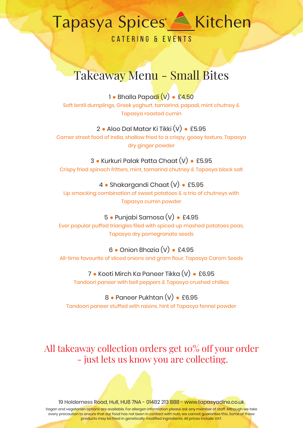**CATERING & EVENTS** 

## Takeaway Menu - Small Bites

1 **●** Bhalla Papadi (V) **●** £4.50

Soft lentil dumplings, Greek yoghurt, tamarind, papadi, mint chutney & Tapasya roasted cumin

### 2 **●** Aloo Dal Matar Ki Tikki (V) **●** £5.95

Corner street food of India, shallow fried to a crispy, gooey texture, Tapasya dry ginger powder

3 **●** Kurkuri Palak Patta Chaat (V) **●** £5.95 Crispy fried spinach fritters, mint, tamarind chutney & Tapasya black salt

4 **●** Shakargandi Chaat (V) **●** £5.95

Lip smacking combination of sweet potatoes & a trio of chutneys with Tapasya cumin powder

5 **●** Punjabi Samosa (V) **●** £4.95 Ever popular puffed triangles filed with spiced up mashed potatoes peas, Tapasya dry pomegranate seeds

6 **●** Onion Bhazia (V) **●** £4.95 All-time favourite of sliced onions and gram flour, Tapasya Carom Seeds

7 **●** Kooti Mirch Ka Paneer Tikka (V) **●** £6.95 Tandoori paneer with bell peppers & Tapasya crushed chillies

8 **●** Paneer Pukhtan (V) **●** £6.95 Tandoori paneer stuffed with raisins, hint of Tapasya fennel powder

All takeaway collection orders get 10% off your order - just lets us know you are collecting.

19 Holderness Road, Hull, HU8 7NA - 01482 213 888 - www.tapasyadine.co.uk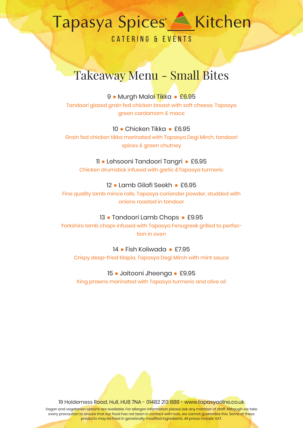CATERING & EVENTS

## Takeaway Menu - Small Bites

#### 9 **●** Murgh Malai Tikka **●** £6.95

Tandoori glazed grain fed chicken breast with soft cheese, Tapasya green cardamom & mace

#### 10 **●** Chicken Tikka **●** £6.95

Grain fed chicken tikka marinated with Tapasya Degi Mirch, tandoori spices & green chutney

#### 11 **●** Lehsooni Tandoori Tangri **●** £6.95

Chicken drumstick infused with garlic &Tapasya turmeric

#### 12 **●** Lamb Gilafi Seekh **●** £6.95

Fine quality lamb mince rolls, Tapasya coriander powder, studded with onions roasted in tandoor

#### 13 **●** Tandoori Lamb Chops **●** £9.95

Yorkshire lamb chops infused with Tapasya Fenugreek grilled to perfection in oven

#### 14 **●** Fish Koliwada **●** £7.95

Crispy deep-fried tilapia, Tapasya Degi Mirch with mint sauce

#### 15 **●** Jaitooni Jheenga **●** £9.95

King prawns marinated with Tapasya turmeric and olive oil

19 Holderness Road, Hull, HU8 7NA - 01482 213 888 - www.tapasyadine.co.uk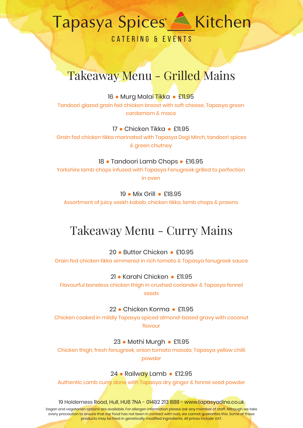CATERING & EVENTS

### Takeaway Menu - Grilled Mains

16 **●** Murg Malai Tikka **●** £11.95

Tandoori glazed grain fed chicken breast with soft cheese, Tapasya green cardamom & mace

17 **●** Chicken Tikka **●** £11.95

 Grain fed chicken tikka marinated with Tapasya Degi Mirch, tandoori spices & green chutney

18 **●** Tandoori Lamb Chops **●** £16.95

Yorkshire lamb chops infused with Tapasya Fenugreek grilled to perfection in oven

19 **●** Mix Grill **●** £18.95

Assortment of juicy seekh kabab, chicken tikka, lamb chops & prawns

### Takeaway Menu - Curry Mains

20 **●** Butter Chicken **●** £10.95

Grain fed chicken tikka simmered in rich tomato & Tapasya fenugreek sauce

21 **●** Karahi Chicken **●** £11.95

Flavourful boneless chicken thigh in crushed coriander & Tapasya fennel seeds

22 **●** Chicken Korma **●** £11.95

Chicken cooked in mildly Tapasya spiced almond-based gravy with coconut flavour

23 **●** Methi Murgh **●** £11.95

Chicken thigh, fresh fenugreek, onion tomato masala, Tapasya yellow chilli powder

24 **●** Railway Lamb **●** £12.95

Authentic Lamb curry done with Tapasya dry ginger & fennel seed powder

19 Holderness Road, Hull, HU8 7NA - 01482 213 888 - www.tapasyadine.co.uk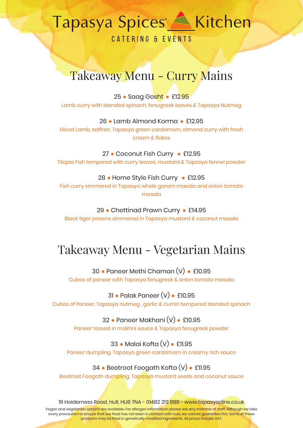## 

**CATERING & EVENTS** 

### Takeaway Menu - Curry Mains

25 **●** Saag Gosht **●** £12.95 Lamb curry with blended spinach, fenugreek leaves & Tapasya Nutmeg

26 **●** Lamb Almond Korma **●** £12.95 Diced Lamb, saffron, Tapasya green cardamom, almond curry with fresh cream & flakes

27 **●** Coconut Fish Curry **●** £12.95 Tilapia Fish tempered with curry leaves, mustard & Tapasya fennel powder

28 **●** Home Style Fish Curry **●** £12.95 Fish curry simmered in Tapasya whole garam masala and onion tomato masala

29 **●** Chettinad Prawn Curry **●** £14.95 Black tiger prawns simmered in Tapasya mustard & coconut masala

## Takeaway Menu - Vegetarian Mains

30 **●** Paneer Methi Chaman (V) **●** £10.95 Cubes of paneer with Tapasya fenugreek & onion tomato masala

31 **●** Palak Paneer (V) **●** £10.95 Cubes of Paneer, Tapasya nutmeg , garlic & cumin tempered blended spinach

> 32 **●** Paneer Makhani (V) **●** £10.95 Paneer tossed in makhni sauce & Tapasya fenugreek powder

33 **●** Malai Kofta (V) **●** £11.95 Paneer dumpling, Tapasya green cardamom in creamy rich sauce

34 **●** Beetroot Foogath Kofta (V) **●** £11.95

Beetroot Foogath dumpling, Tapasya mustard seeds and coconut sauce

19 Holderness Road, Hull, HU8 7NA - 01482 213 888 - www.tapasyadine.co.uk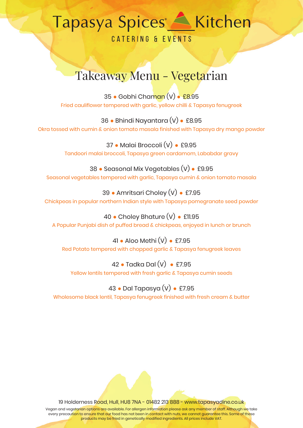**CATERING & EVENTS** 

## Takeaway Menu - Vegetarian

35 **●** Gobhi Chaman (V) **●** £8.95 Fried cauliflower tempered with garlic, yellow chilli & Tapasya fenugreek

36 **●** Bhindi Nayantara (V) **●** £8.95 Okra tossed with cumin & onion tomato masala finished with Tapasya dry mango powder

> 37 **●** Malai Broccoli (V) **●** £9.95 Tandoori malai broccoli, Tapasya green cardamom, Lababdar gravy

38 **●** Seasonal Mix Vegetables (V) **●** £9.95 Seasonal vegetables tempered with garlic, Tapasya cumin & onion tomato masala

39 **●** Amritsari Choley (V) **●** £7.95 Chickpeas in popular northern Indian style with Tapasya pomegranate seed powder

40 **●** Choley Bhature (V) **●** £11.95 A Popular Punjabi dish of puffed bread & chickpeas, enjoyed in lunch or brunch

41 **●** Aloo Methi (V) **●** £7.95 Red Potato tempered with chopped garlic & Tapasya fenugreek leaves

42 **●** Tadka Dal (V) **●** £7.95 Yellow lentils tempered with fresh garlic & Tapasya cumin seeds

### 43 **●** Dal Tapasya (V) **●** £7.95

Wholesome black lentil, Tapasya fenugreek finished with fresh cream & butter

19 Holderness Road, Hull, HU8 7NA - 01482 213 888 - www.tapasyadine.co.uk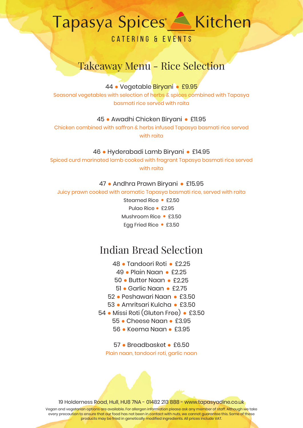CATFRING & FVFNTS

### Takeaway Menu - Rice Selection

44 **●** Vegetable Biryani **●** £9.95

Seasonal vegetables with selection of herbs & spices combined with Tapasya basmati rice served with raita

45 **●** Awadhi Chicken Biryani **●** £11.95

Chicken combined with saffron & herbs infused Tapasya basmati rice served with raita

46 **●** Hyderabadi Lamb Biryani **●** £14.95

Spiced curd marinated lamb cooked with fragrant Tapasya basmati rice served with raita

47 **●** Andhra Prawn Biryani **●** £15.95

Juicy prawn cooked with aromatic Tapasya basmati rice, served with raita

Steamed Rice **●** £2.50 Pulao Rice **●** £2.95 Mushroom Rice **●** £3.50 Egg Fried Rice **●** £3.50

### Indian Bread Selection

- 48 **●** Tandoori Roti **●** £2.25
- 49 **●** Plain Naan **●** £2.25
- 50 **●** Butter Naan **●** £2.25
- 51 **●** Garlic Naan **●** £2.75
- 52 **●** Peshawari Naan **●** £3.50
- 53 **●** Amritsari Kulcha **●** £3.50
- 54 **●** Missi Roti (Gluten Free) **●** £3.50
	- 55 **●** Cheese Naan **●** £3.95
	- 56 **●** Keema Naan **●** £3.95

57 **●** Breadbasket **●** £6.50 Plain naan, tandoori roti, garlic naan

19 Holderness Road, Hull, HU8 7NA - 01482 213 888 - www.tapasyadine.co.uk